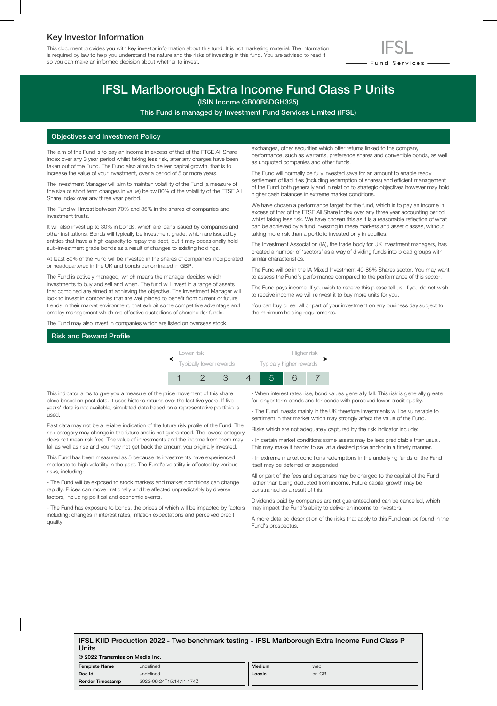## Key Investor Information

This document provides you with key investor information about this fund. It is not marketing material. The information is required by law to help you understand the nature and the risks of investing in this fund. You are advised to read it so you can make an informed decision about whether to invest.



# IFSL Marlborough Extra Income Fund Class P Units

(ISIN Income GB00B8DGH325)

This Fund is managed by Investment Fund Services Limited (IFSL)

#### Objectives and Investment Policy

The aim of the Fund is to pay an income in excess of that of the FTSE All Share Index over any 3 year period whilst taking less risk, after any charges have been taken out of the Fund. The Fund also aims to deliver capital growth, that is to increase the value of your investment, over a period of 5 or more years.

The Investment Manager will aim to maintain volatility of the Fund (a measure of the size of short term changes in value) below 80% of the volatility of the FTSE All Share Index over any three year period.

The Fund will invest between 70% and 85% in the shares of companies and investment trusts.

It will also invest up to 30% in bonds, which are loans issued by companies and other institutions. Bonds will typically be investment grade, which are issued by entities that have a high capacity to repay the debt, but it may occasionally hold sub-investment grade bonds as a result of changes to existing holdings.

At least 80% of the Fund will be invested in the shares of companies incorporated or headquartered in the UK and bonds denominated in GBP.

The Fund is actively managed, which means the manager decides which investments to buy and sell and when. The fund will invest in a range of assets that combined are aimed at achieving the objective. The Investment Manager will look to invest in companies that are well placed to benefit from current or future trends in their market environment, that exhibit some competitive advantage and employ management which are effective custodians of shareholder funds.

The Fund may also invest in companies which are listed on overseas stock

exchanges, other securities which offer returns linked to the company performance, such as warrants, preference shares and convertible bonds, as well as unquoted companies and other funds.

The Fund will normally be fully invested save for an amount to enable ready settlement of liabilities (including redemption of shares) and efficient management of the Fund both generally and in relation to strategic objectives however may hold higher cash balances in extreme market conditions.

We have chosen a performance target for the fund, which is to pay an income in excess of that of the FTSE All Share Index over any three year accounting period whilst taking less risk. We have chosen this as it is a reasonable reflection of what can be achieved by a fund investing in these markets and asset classes, without taking more risk than a portfolio invested only in equities.

The Investment Association (IA), the trade body for UK investment managers, has created a number of 'sectors' as a way of dividing funds into broad groups with similar characteristics.

The Fund will be in the IA Mixed Investment 40-85% Shares sector. You may want to assess the Fund's performance compared to the performance of this sector.

The Fund pays income. If you wish to receive this please tell us. If you do not wish to receive income we will reinvest it to buy more units for you.

You can buy or sell all or part of your investment on any business day subject to the minimum holding requirements.

## Risk and Reward Profile



This indicator aims to give you a measure of the price movement of this share class based on past data. It uses historic returns over the last five years. If five years' data is not available, simulated data based on a representative portfolio is used.

Past data may not be a reliable indication of the future risk profile of the Fund. The risk category may change in the future and is not guaranteed. The lowest category does not mean risk free. The value of investments and the income from them may fall as well as rise and you may not get back the amount you originally invested.

This Fund has been measured as 5 because its investments have experienced moderate to high volatility in the past. The Fund's volatility is affected by various risks, including:

- The Fund will be exposed to stock markets and market conditions can change rapidly. Prices can move irrationally and be affected unpredictably by diverse factors, including political and economic events.

- The Fund has exposure to bonds, the prices of which will be impacted by factors including; changes in interest rates, inflation expectations and perceived credit quality.

- When interest rates rise, bond values generally fall. This risk is generally greater for longer term bonds and for bonds with perceived lower credit quality.

- The Fund invests mainly in the UK therefore investments will be vulnerable to sentiment in that market which may strongly affect the value of the Fund.

Risks which are not adequately captured by the risk indicator include:

- In certain market conditions some assets may be less predictable than usual. This may make it harder to sell at a desired price and/or in a timely manner.

- In extreme market conditions redemptions in the underlying funds or the Fund itself may be deferred or suspended.

All or part of the fees and expenses may be charged to the capital of the Fund rather than being deducted from income. Future capital growth may be constrained as a result of this.

Dividends paid by companies are not guaranteed and can be cancelled, which may impact the Fund's ability to deliver an income to investors.

A more detailed description of the risks that apply to this Fund can be found in the Fund's prospectus.